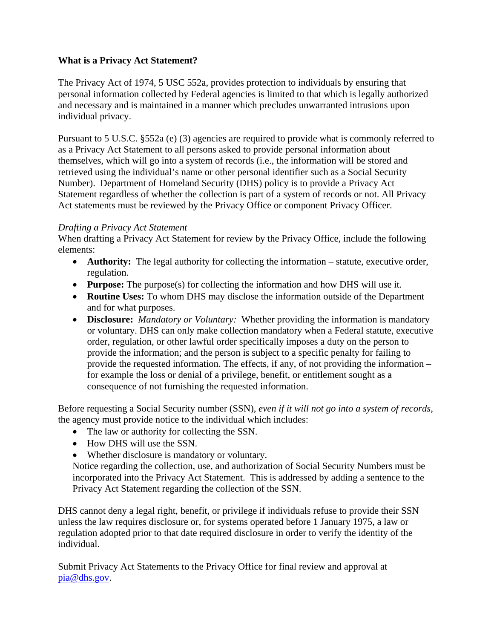## **What is a Privacy Act Statement?**

The Privacy Act of 1974, 5 USC 552a, provides protection to individuals by ensuring that personal information collected by Federal agencies is limited to that which is legally authorized and necessary and is maintained in a manner which precludes unwarranted intrusions upon individual privacy.

Pursuant to 5 U.S.C. §552a (e) (3) agencies are required to provide what is commonly referred to as a Privacy Act Statement to all persons asked to provide personal information about themselves, which will go into a system of records (i.e., the information will be stored and retrieved using the individual's name or other personal identifier such as a Social Security Number). Department of Homeland Security (DHS) policy is to provide a Privacy Act Statement regardless of whether the collection is part of a system of records or not. All Privacy Act statements must be reviewed by the Privacy Office or component Privacy Officer.

## *Drafting a Privacy Act Statement*

When drafting a Privacy Act Statement for review by the Privacy Office, include the following elements:

- **Authority:** The legal authority for collecting the information statute, executive order, regulation.
- **Purpose:** The purpose(s) for collecting the information and how DHS will use it.
- **Routine Uses:** To whom DHS may disclose the information outside of the Department and for what purposes.
- **Disclosure:** *Mandatory or Voluntary:* Whether providing the information is mandatory or voluntary. DHS can only make collection mandatory when a Federal statute, executive order, regulation, or other lawful order specifically imposes a duty on the person to provide the information; and the person is subject to a specific penalty for failing to provide the requested information. The effects, if any, of not providing the information – for example the loss or denial of a privilege, benefit, or entitlement sought as a consequence of not furnishing the requested information.

Before requesting a Social Security number (SSN), *even if it will not go into a system of records*, the agency must provide notice to the individual which includes:

- The law or authority for collecting the SSN.
- How DHS will use the SSN.
- Whether disclosure is mandatory or voluntary.

Notice regarding the collection, use, and authorization of Social Security Numbers must be incorporated into the Privacy Act Statement. This is addressed by adding a sentence to the Privacy Act Statement regarding the collection of the SSN.

DHS cannot deny a legal right, benefit, or privilege if individuals refuse to provide their SSN unless the law requires disclosure or, for systems operated before 1 January 1975, a law or regulation adopted prior to that date required disclosure in order to verify the identity of the individual.

Submit Privacy Act Statements to the Privacy Office for final review and approval at [pia@dhs.gov](mailto:pia@dhs.gov).